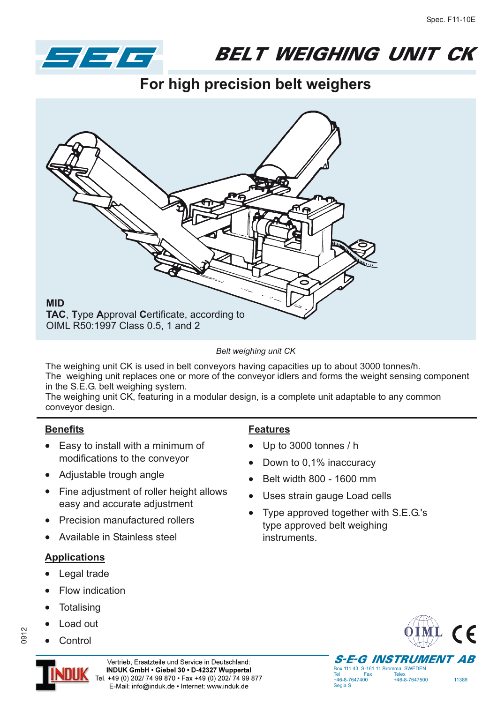

## **BELT WEIGHING UNIT CK**  $\mathbf{B}$

**For high precision belt weighers**



*Belt weighing unit CK*

The weighing unit CK is used in belt conveyors having capacities up to about 3000 tonnes/h. The weighing unit replaces one or more of the conveyor idlers and forms the weight sensing component in the S.E.G. belt weighing system.

The weighing unit CK, featuring in a modular design, is a complete unit adaptable to any common conveyor design.

### **Benefits**

- Easy to install with a minimum of modifications to the conveyor
- Adjustable trough angle
- Fine adjustment of roller height allows easy and accurate adjustment
- -Precision manufactured rollers
- -Available in Stainless steel

### **Applications**

- -Legal trade
- -Flow indication
- -**Totalising**
- --Load out

Control

# 0912



### **Features**

- -Up to 3000 tonnes / h
- -Down to 0,1% inaccuracy
- -Belt width 800 - 1600 mm
- -Uses strain gauge Load cells
- - Type approved together with S.E.G.'s type approved belt weighing instruments.

Tel Fax Telex<br>+46-8-7647400 +46-

Segia S



+46-8-7647400 +46-8-7647500 11389